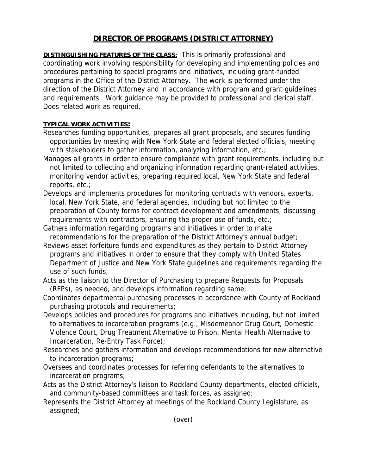## **DIRECTOR OF PROGRAMS (DISTRICT ATTORNEY)**

**DISTINGUISHING FEATURES OF THE CLASS:** This is primarily professional and coordinating work involving responsibility for developing and implementing policies and procedures pertaining to special programs and initiatives, including grant-funded programs in the Office of the District Attorney. The work is performed under the direction of the District Attorney and in accordance with program and grant guidelines and requirements. Work guidance may be provided to professional and clerical staff. Does related work as required.

## **TYPICAL WORK ACTIVITIES:**

- Researches funding opportunities, prepares all grant proposals, and secures funding opportunities by meeting with New York State and federal elected officials, meeting with stakeholders to gather information, analyzing information, etc.;
- Manages all grants in order to ensure compliance with grant requirements, including but not limited to collecting and organizing information regarding grant-related activities, monitoring vendor activities, preparing required local, New York State and federal reports, etc.;
- Develops and implements procedures for monitoring contracts with vendors, experts, local, New York State, and federal agencies, including but not limited to the preparation of County forms for contract development and amendments, discussing requirements with contractors, ensuring the proper use of funds, etc.;
- Gathers information regarding programs and initiatives in order to make recommendations for the preparation of the District Attorney's annual budget;
- Reviews asset forfeiture funds and expenditures as they pertain to District Attorney programs and initiatives in order to ensure that they comply with United States Department of Justice and New York State guidelines and requirements regarding the use of such funds;
- Acts as the liaison to the Director of Purchasing to prepare Requests for Proposals (RFPs), as needed, and develops information regarding same;
- Coordinates departmental purchasing processes in accordance with County of Rockland purchasing protocols and requirements;
- Develops policies and procedures for programs and initiatives including, but not limited to alternatives to incarceration programs (e.g., Misdemeanor Drug Court, Domestic Violence Court, Drug Treatment Alternative to Prison, Mental Health Alternative to Incarceration, Re-Entry Task Force);
- Researches and gathers information and develops recommendations for new alternative to incarceration programs;
- Oversees and coordinates processes for referring defendants to the alternatives to incarceration programs;
- Acts as the District Attorney's liaison to Rockland County departments, elected officials, and community-based committees and task forces, as assigned;
- Represents the District Attorney at meetings of the Rockland County Legislature, as assigned;